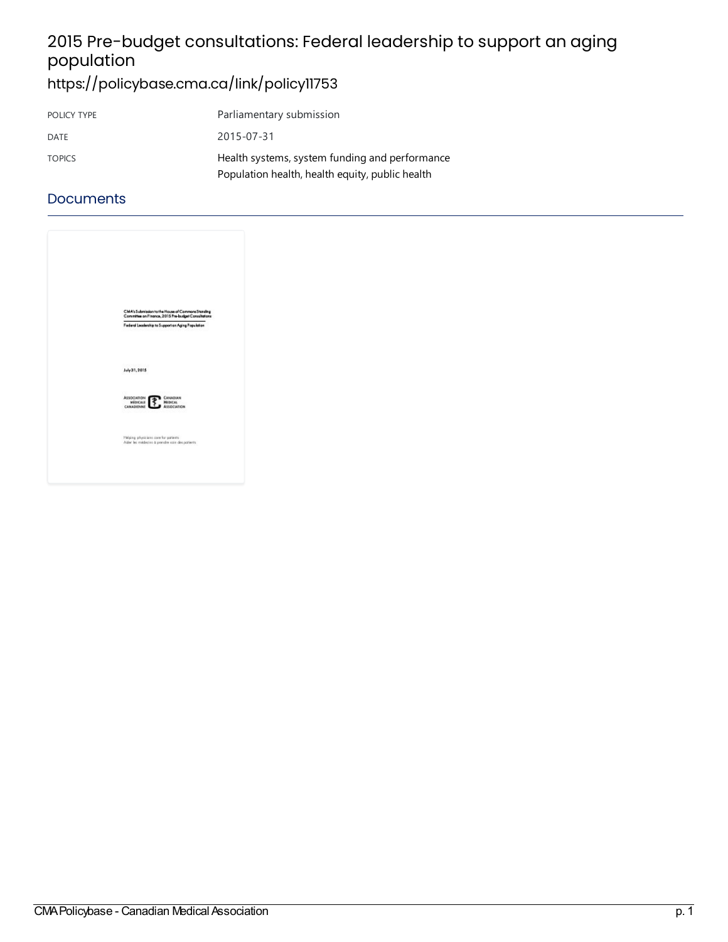# 2015 Pre-budget consultations: Federal leadership to support an aging population

# <https://policybase.cma.ca/link/policy11753>

| POLICY TYPE   | Parliamentary submission                        |
|---------------|-------------------------------------------------|
| DATE          | 2015-07-31                                      |
| <b>TOPICS</b> | Health systems, system funding and performance  |
|               | Population health, health equity, public health |

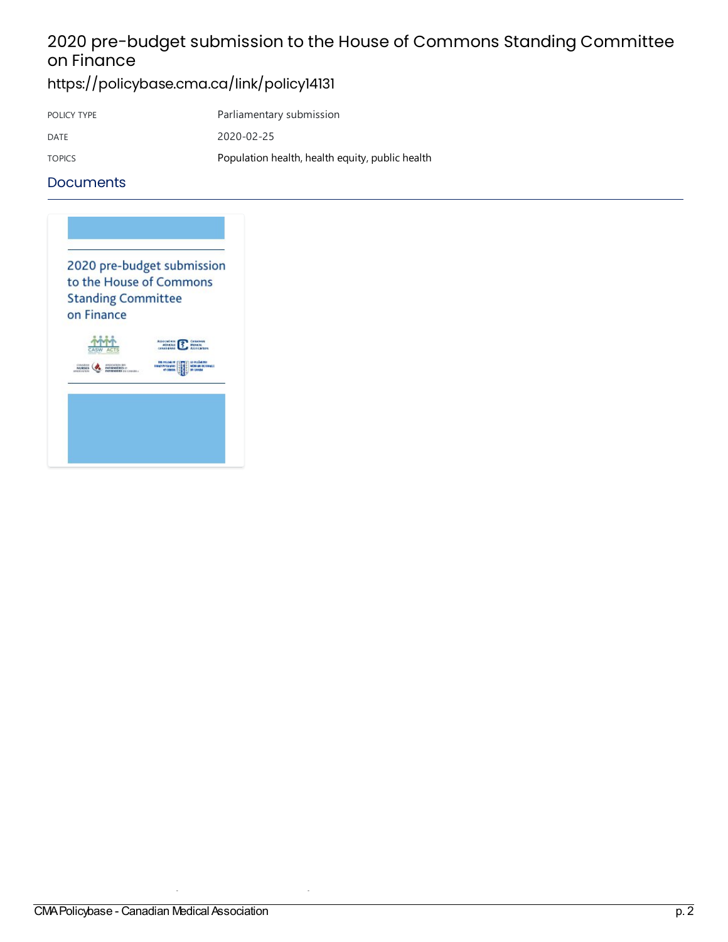# 2020 pre-budget submission to the House of Commons Standing Committee on Finance

### <https://policybase.cma.ca/link/policy14131>

| POLICY TYPE   | Parliamentary submission                        |
|---------------|-------------------------------------------------|
| DATE          | 2020-02-25                                      |
| <b>TOPICS</b> | Population health, health equity, public health |

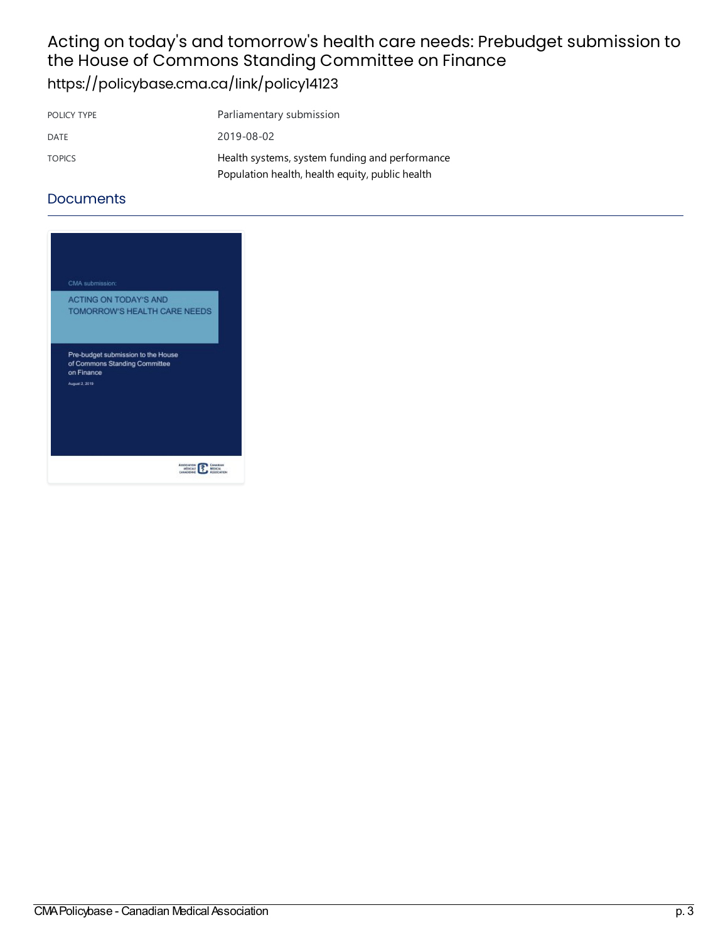# Acting on today's and tomorrow's health care needs: Prebudget submission to the House of Commons Standing Committee on Finance

<https://policybase.cma.ca/link/policy14123>

| POLICY TYPE   | Parliamentary submission                        |
|---------------|-------------------------------------------------|
| DATE          | 2019-08-02                                      |
| <b>TOPICS</b> | Health systems, system funding and performance  |
|               | Population health, health equity, public health |

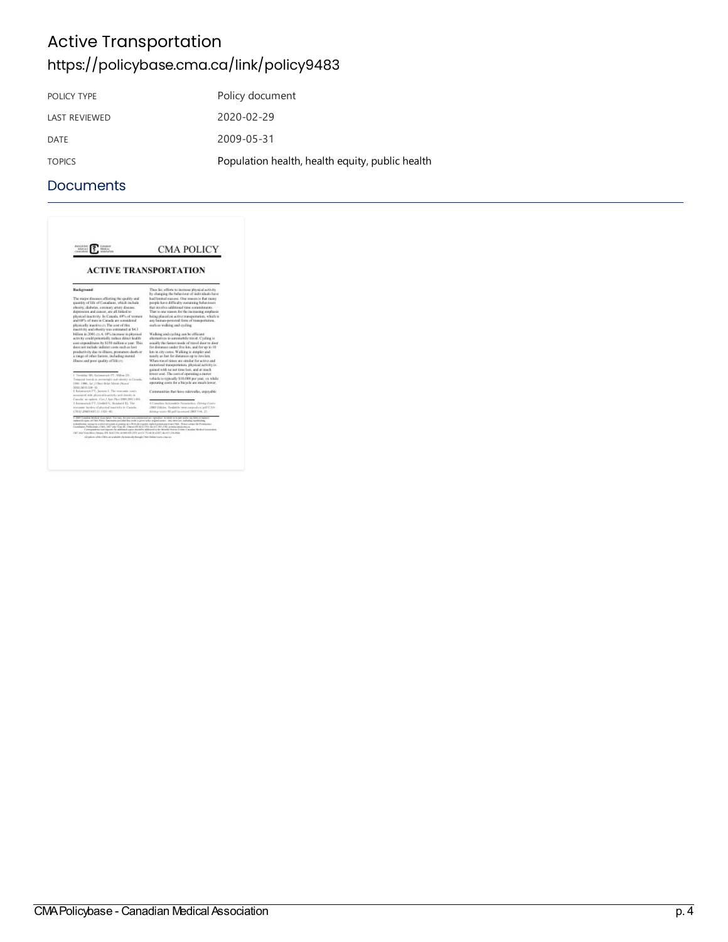## Active Transportation <https://policybase.cma.ca/link/policy9483>

| POLICY TYPE          | Policy document                                 |
|----------------------|-------------------------------------------------|
| <b>LAST REVIEWED</b> | 2020-02-29                                      |
| DATE                 | 2009-05-31                                      |
| <b>TOPICS</b>        | Population health, health equity, public health |

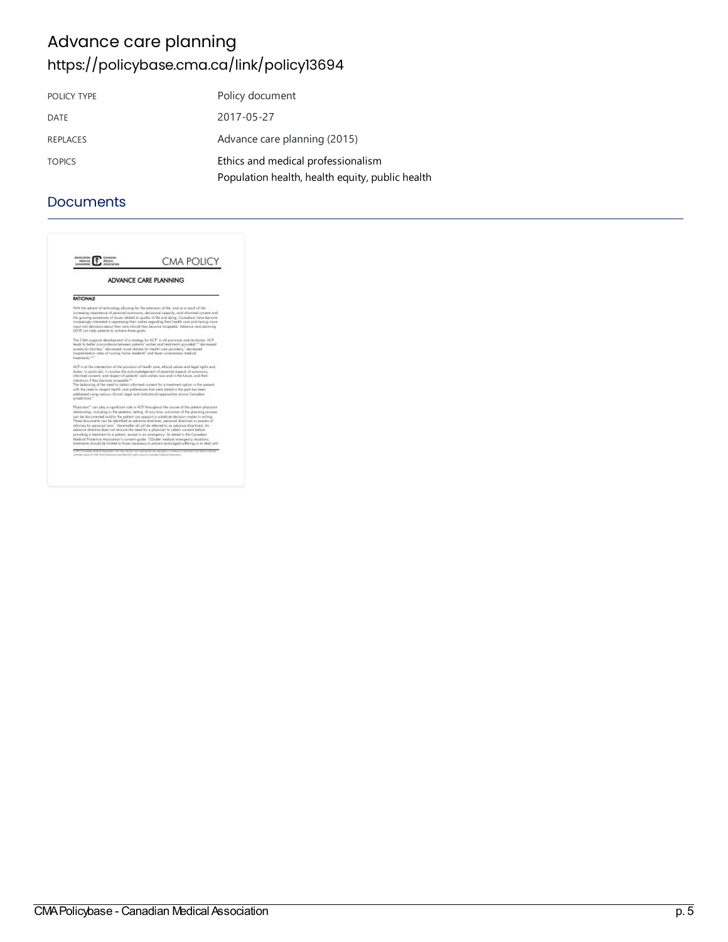## Advance care planning <https://policybase.cma.ca/link/policy13694>

| POLICY TYPE     | Policy document                                 |
|-----------------|-------------------------------------------------|
| DATE            | 2017-05-27                                      |
| <b>REPLACES</b> | Advance care planning (2015)                    |
| <b>TOPICS</b>   | Ethics and medical professionalism              |
|                 | Population health, health equity, public health |

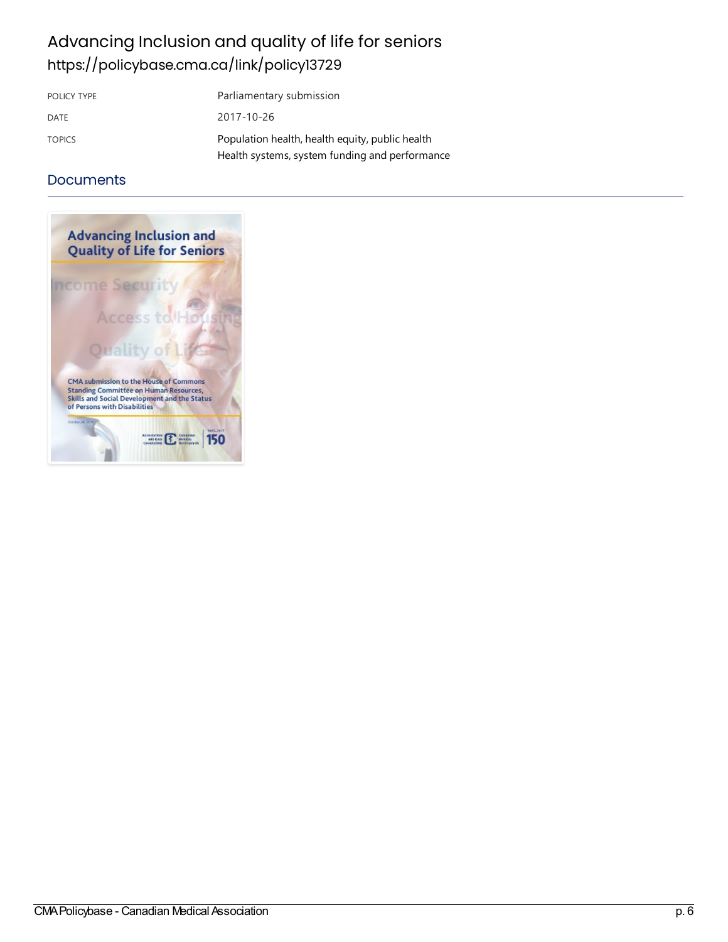## Advancing Inclusion and quality of life for seniors <https://policybase.cma.ca/link/policy13729>

| POLICY TYPE   | Parliamentary submission                                                                          |
|---------------|---------------------------------------------------------------------------------------------------|
| DATE          | 2017-10-26                                                                                        |
| <b>TOPICS</b> | Population health, health equity, public health<br>Health systems, system funding and performance |

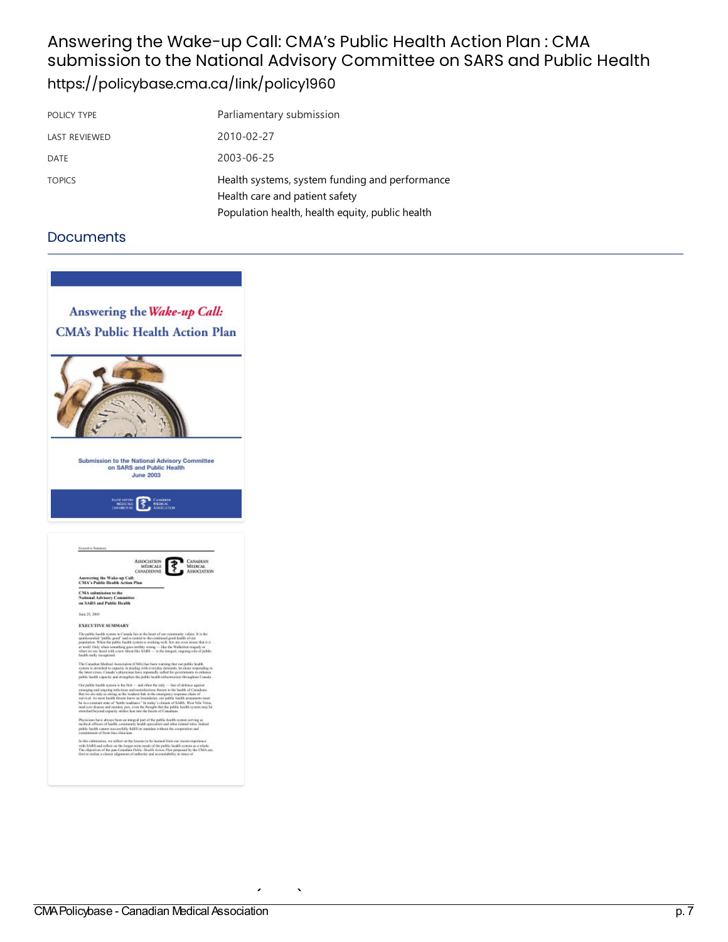### Answering the Wake-up Call: CMA's Public Health Action Plan: CMA submission to the National Advisory Committee on SARS and Public Health <https://policybase.cma.ca/link/policy1960>

| POLICY TYPE          | Parliamentary submission                                                         |
|----------------------|----------------------------------------------------------------------------------|
| <b>LAST REVIEWED</b> | 2010-02-27                                                                       |
| <b>DATE</b>          | 2003-06-25                                                                       |
| <b>TOPICS</b>        | Health systems, system funding and performance<br>Health care and patient safety |
|                      | Population health, health equity, public health                                  |

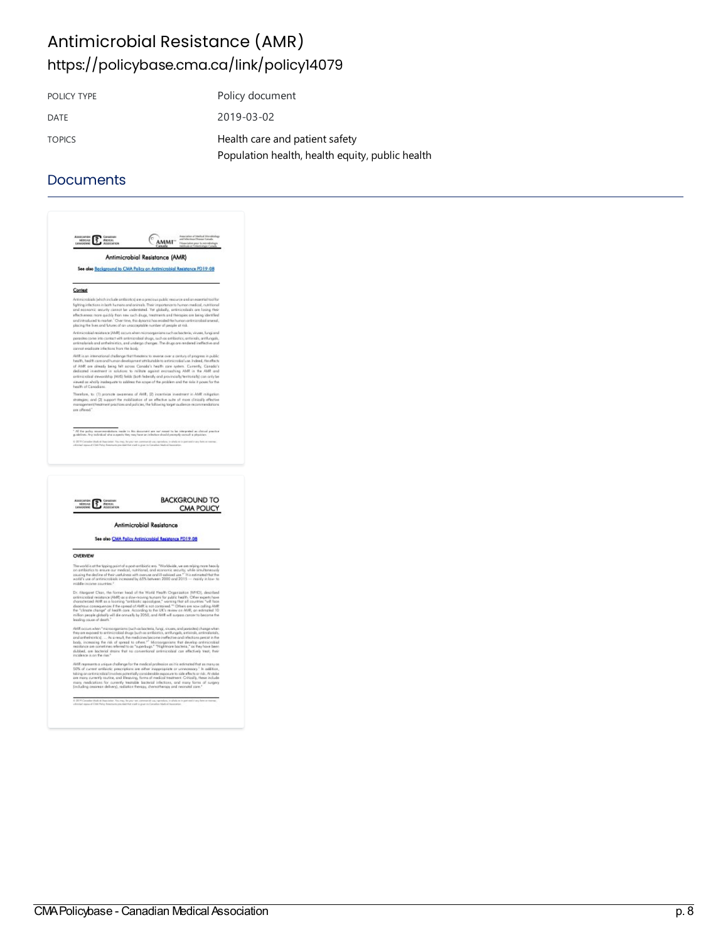### Antimicrobial Resistance (AMR) <https://policybase.cma.ca/link/policy14079>

| POLICY TYPE   | Policy document                                 |
|---------------|-------------------------------------------------|
| DATE          | 2019-03-02                                      |
| <b>TOPICS</b> | Health care and patient safety                  |
|               | Population health, health equity, public health |

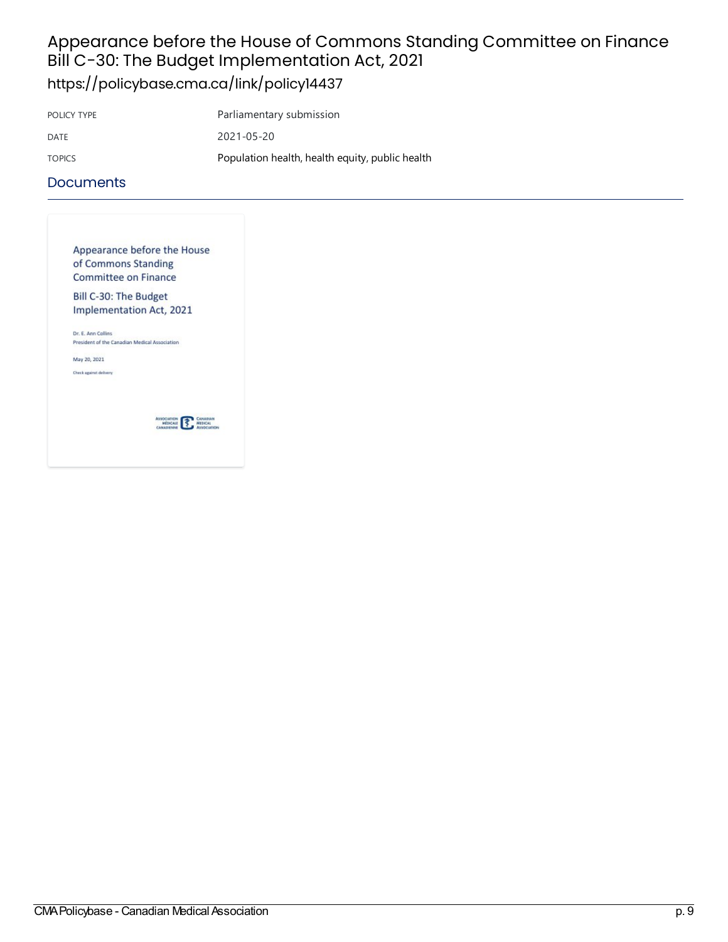# Appearance before the House of Commons Standing Committee on Finance Bill C-30: The Budget Implementation Act, 2021

<https://policybase.cma.ca/link/policy14437>

| POLICY TYPE   | Parliamentary submission                        |
|---------------|-------------------------------------------------|
| DATE          | 2021-05-20                                      |
| <b>TOPICS</b> | Population health, health equity, public health |

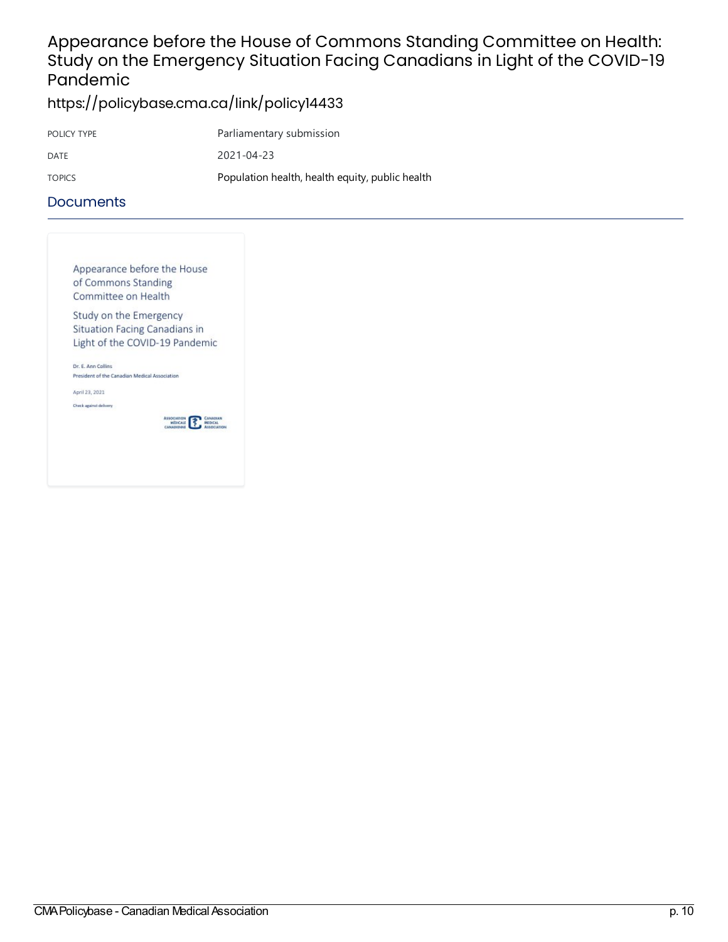### Appearance before the House of Commons Standing Committee on Health: Study on the Emergency Situation Facing Canadians in Light of the COVID-19 Pandemic

<https://policybase.cma.ca/link/policy14433>

| POLICY TYPE | Parliamentary submission                        |
|-------------|-------------------------------------------------|
| DATE        | 2021-04-23                                      |
| TOPICS      | Population health, health equity, public health |

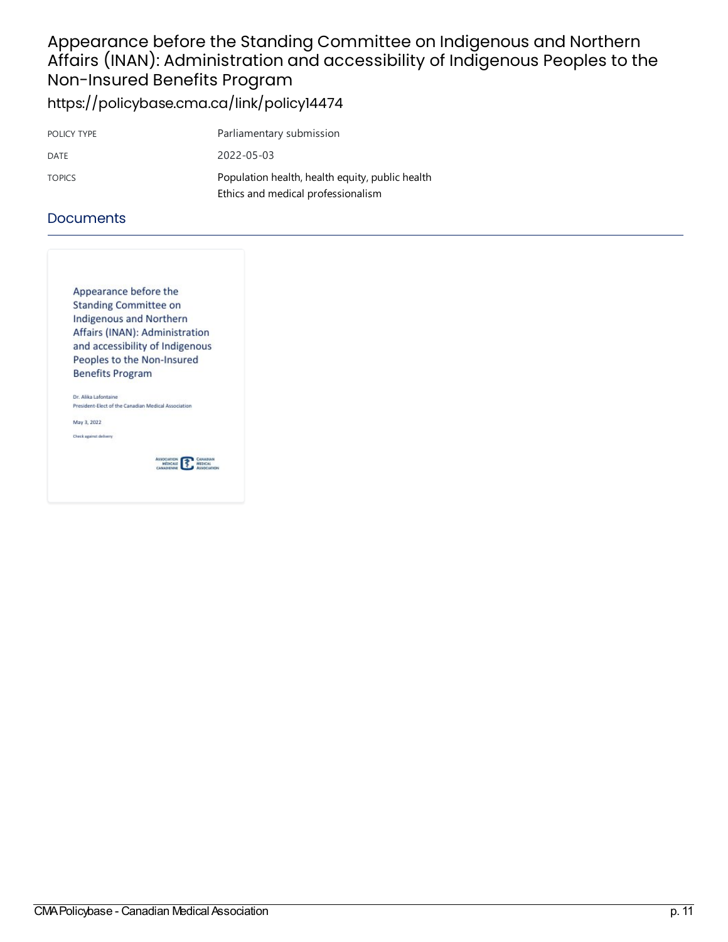### Appearance before the Standing Committee on Indigenous and Northern Affairs (INAN): Administration and accessibility of Indigenous Peoples to the Non-Insured Benefits Program <https://policybase.cma.ca/link/policy14474>

| POLICY TYPE   | Parliamentary submission                                                              |
|---------------|---------------------------------------------------------------------------------------|
| DATE          | 2022-05-03                                                                            |
| <b>TOPICS</b> | Population health, health equity, public health<br>Ethics and medical professionalism |

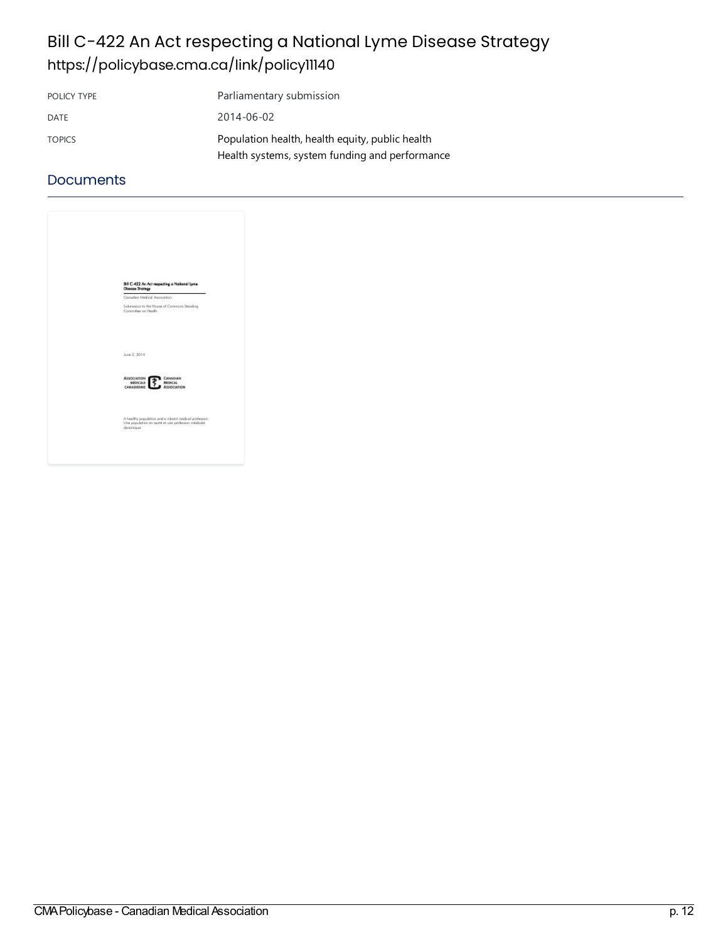# Bill C-422 An Act respecting a National Lyme Disease Strategy <https://policybase.cma.ca/link/policy11140>

| POLICY TYPE   | Parliamentary submission                        |
|---------------|-------------------------------------------------|
| DATE          | 2014-06-02                                      |
| <b>TOPICS</b> | Population health, health equity, public health |
|               | Health systems, system funding and performance  |

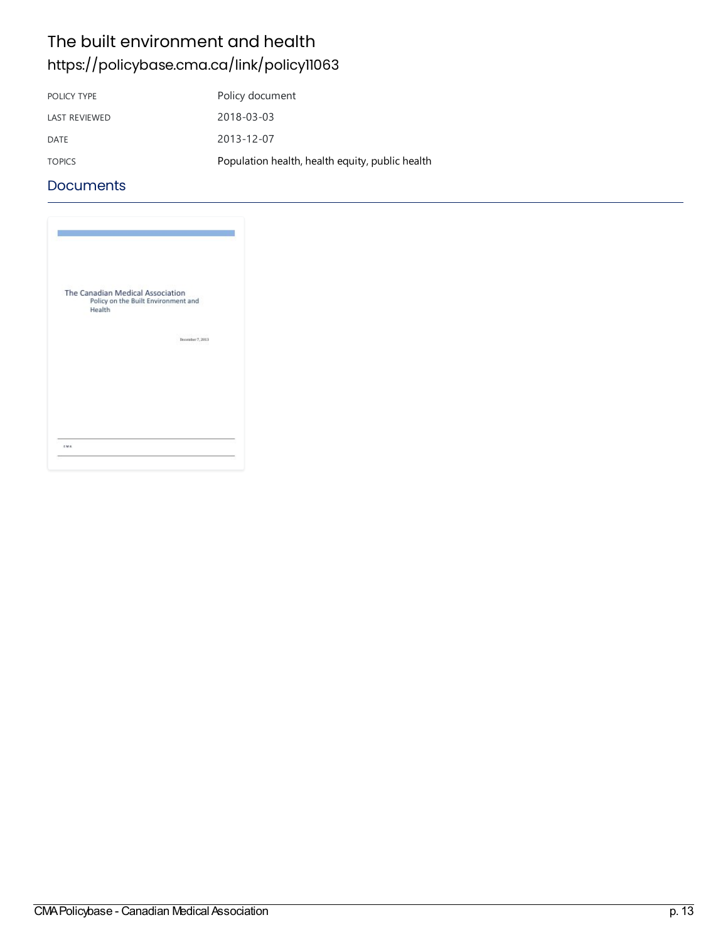### The built environment and health <https://policybase.cma.ca/link/policy11063>

| POLICY TYPE          | Policy document                                 |
|----------------------|-------------------------------------------------|
| <b>LAST REVIEWED</b> | 2018-03-03                                      |
| DATE                 | 2013-12-07                                      |
| <b>TOPICS</b>        | Population health, health equity, public health |

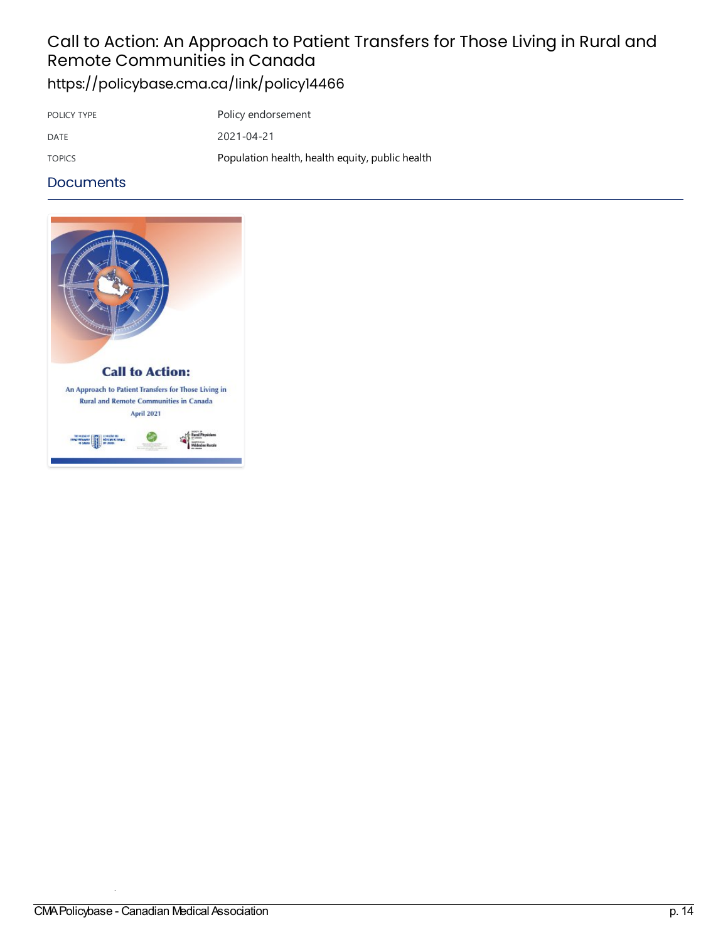### Call to Action: An Approach to Patient Transfers for Those Living in Rural and Remote Communities in Canada <https://policybase.cma.ca/link/policy14466>

POLICY TYPE POLICY TYPE DATE 2021-04-21 TOPICS [Population](https://policybase.cma.ca/list?q=topic%253A%2522Population%20health,%20health%20equity,%20public%20health%2522&p=1&ps=&sort=title_sort%20asc) health, health equity, public health

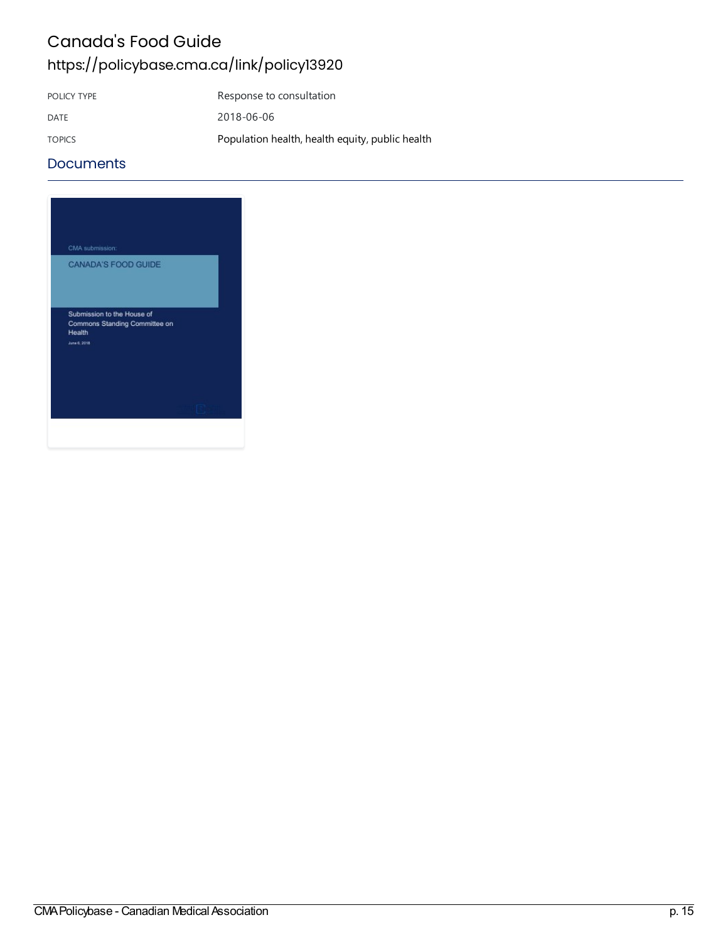### Canada's Food Guide <https://policybase.cma.ca/link/policy13920>

POLICY TYPE Response to consultation DATE 2018-06-06 TOPICS [Population](https://policybase.cma.ca/list?q=topic%253A%2522Population%20health,%20health%20equity,%20public%20health%2522&p=1&ps=&sort=title_sort%20asc) health, health equity, public health

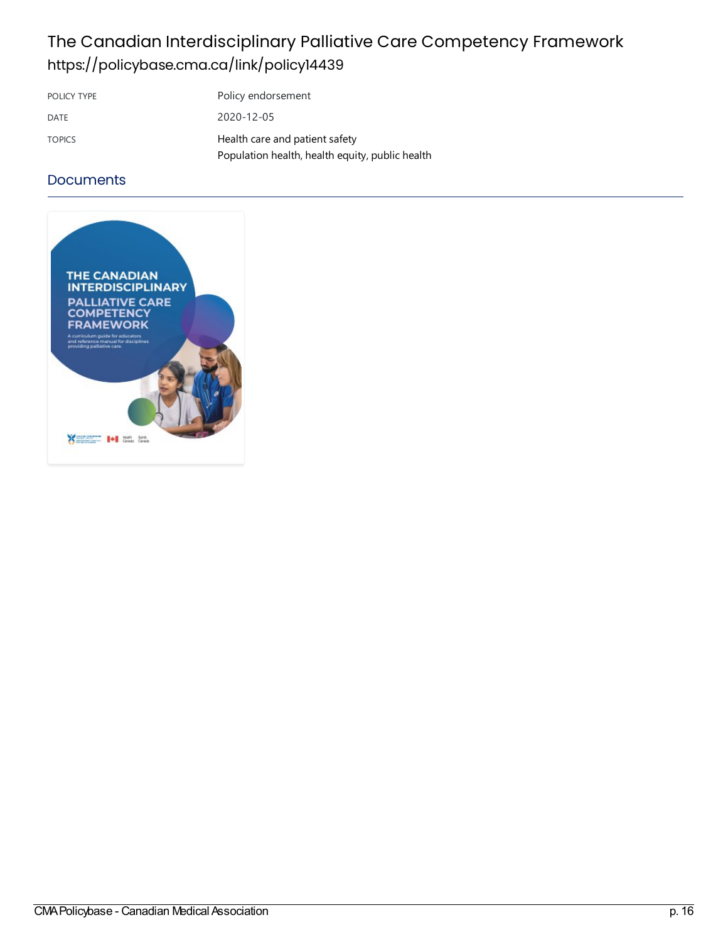## The Canadian Interdisciplinary Palliative Care Competency Framework <https://policybase.cma.ca/link/policy14439>

| POLICY TYPE   | Policy endorsement                                                                |
|---------------|-----------------------------------------------------------------------------------|
| DATE          | 2020-12-05                                                                        |
| <b>TOPICS</b> | Health care and patient safety<br>Population health, health equity, public health |

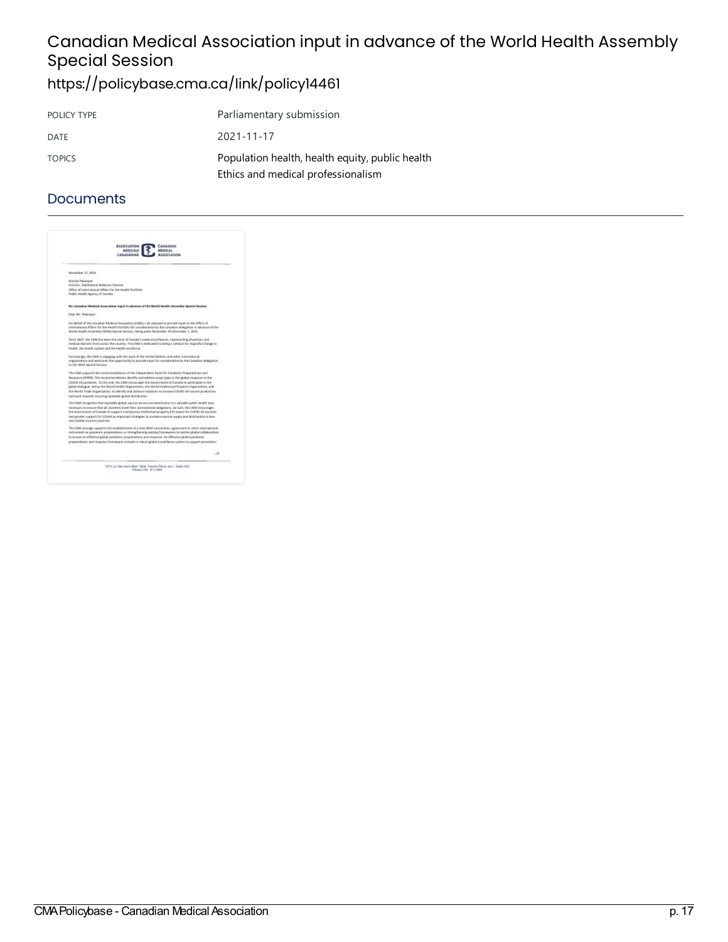# Canadian Medical Association input in advance of the World Health Assembly **Special Session**

# <https://policybase.cma.ca/link/policy14461>

| POLICY TYPE   | Parliamentary submission                                                              |
|---------------|---------------------------------------------------------------------------------------|
| DATE          | 2021-11-17                                                                            |
| <b>TOPICS</b> | Population health, health equity, public health<br>Ethics and medical professionalism |

| <b>ASSOCIATION</b><br><b>PREDICALE</b><br>CANADIGNING |                                                                                                                                                                                                                                                                                                                 |
|-------------------------------------------------------|-----------------------------------------------------------------------------------------------------------------------------------------------------------------------------------------------------------------------------------------------------------------------------------------------------------------|
| November 17, 2021                                     |                                                                                                                                                                                                                                                                                                                 |
| <b>Nicolas Palanceur</b>                              |                                                                                                                                                                                                                                                                                                                 |
| Director, Martiateral Relations Division              |                                                                                                                                                                                                                                                                                                                 |
| Public Health Agency of Casada                        | Office of trears stigral Affairs for the Health Partfolio                                                                                                                                                                                                                                                       |
|                                                       | Rei Canadian Medical Association input in advance of the Warld Health Assembly Special Security                                                                                                                                                                                                                 |
| Dear Mr. Ralangae:                                    |                                                                                                                                                                                                                                                                                                                 |
|                                                       | On behalf of the Canadian Medical Accoration (CRA), I am pleased to provide input to the Office of<br>International Affairs for the Health Partfolio for consideration by the Canadian delegation in advance of the<br>Walld Health Assembly (WWA) Special Seosion, taking place November 20-Oricember 1, 2021. |
|                                                       | Since 1867, the CMK lisk been the valce of Canada's niedical profession, representing physicians and<br>reedical issumes from across the country. The CMA is dedicated to being a catalyst for impactful change in<br>health, the health system and the health workforce.                                       |
| to the 984A Special Section                           | Increasingly, the CMA is engaging with the work of the United Nations and other intersational<br>organizations and welcomes the opportunity to provide input for consideration by the Canadian delegation                                                                                                       |
|                                                       | The CMA suggest to the recommendations of the Independent Panel for Pandemic Preparedness and                                                                                                                                                                                                                   |
|                                                       | Response (IPPPE). The recommendations identify and address major gaps in the global response to the                                                                                                                                                                                                             |
|                                                       | COVID-18 paintwrid. To this end, the CMM electrologies the disversioned of Canada to participate in the<br>glatesi dialogue, led by the Warld Health Drgawization, the Warld Intellectual Property Organization, and                                                                                            |
|                                                       | the Welld Trade Organization, to identify and advance railations to increase CDWD-39 vaccine production<br>and work towards ensuring equitable global distribution.                                                                                                                                             |
|                                                       | The CMM recognizes that equitable global vancine access and distribution is a valuable public health tool,                                                                                                                                                                                                      |
|                                                       | receipting to elected that all cauranies meet their international obligations. As outh, the CMA electerages                                                                                                                                                                                                     |
|                                                       | the Gaustrosset of Casada to support a tensporary intellectual property EP) spisor for COVID-29 saccines<br>and greater support for COWAX as important strategies to instrusie sassive supply and distribution in law-                                                                                          |
| and middle-income countries.                          |                                                                                                                                                                                                                                                                                                                 |
|                                                       | The CMA strangly supports the establishment of a new 1840 convention, agreement or other intervational<br>instrument on gandenic preparedness or strengthening existing fiameworks to bolter plokal collaboration                                                                                               |
|                                                       | to evoure an effective global goodernic preparedizess and response. As effective global pandernic                                                                                                                                                                                                               |
|                                                       | preparedness and response fitamewark includes a robust global surveillance system to support prevention                                                                                                                                                                                                         |
|                                                       | $-12$                                                                                                                                                                                                                                                                                                           |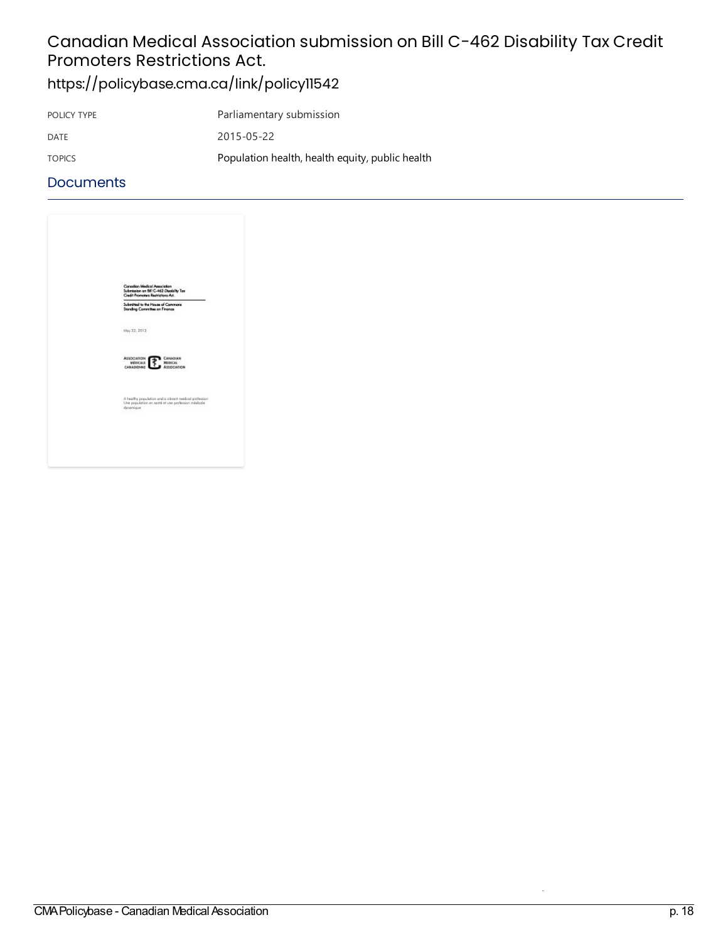# Canadian Medical Association submission on Bill C-462 Disability Tax Credit Promoters Restrictions Act.

<https://policybase.cma.ca/link/policy11542>

| POLICY TYPE   | Parliamentary submission                        |
|---------------|-------------------------------------------------|
| DATE          | 2015-05-22                                      |
| <b>TOPICS</b> | Population health, health equity, public health |

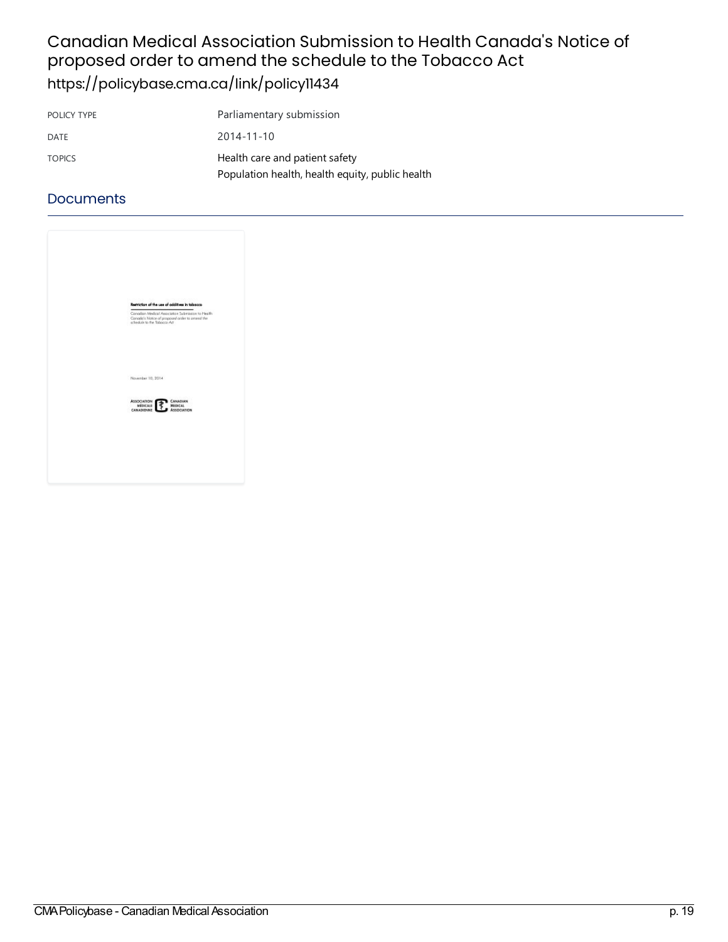### Canadian Medical Association Submission to Health Canada's Notice of proposed order to amend the schedule to the Tobacco Act <https://policybase.cma.ca/link/policy11434>

| POLICY TYPE   | Parliamentary submission                        |
|---------------|-------------------------------------------------|
| DATE          | $2014 - 11 - 10$                                |
| <b>TOPICS</b> | Health care and patient safety                  |
|               | Population health, health equity, public health |